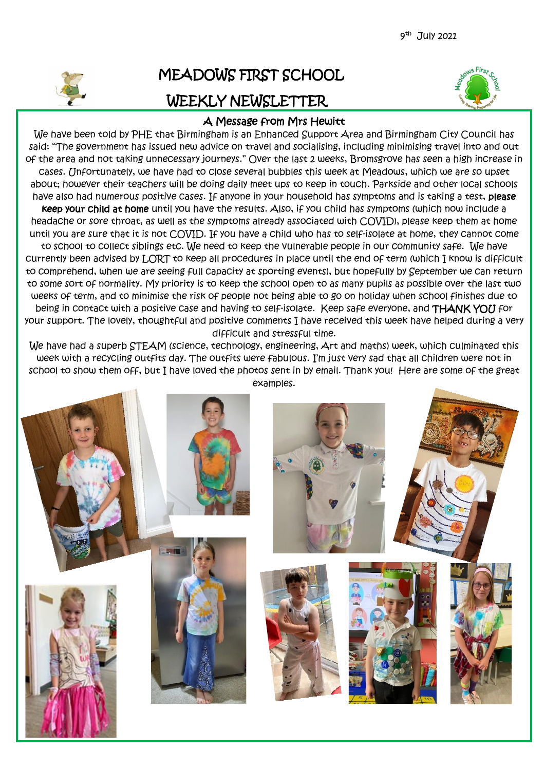

## MEADOWS FIRST SCHOOL WEEKLY NEWSLETTER



## A Message from Mrs Hewitt

We have been told by PHE that Birmingham is an Enhanced Support Area and Birmingham City Council has said: "The government has issued new advice on travel and socialising, including minimising travel into and out of the area and not taking unnecessary journeys." Over the last 2 weeks, Bromsgrove has seen a high increase in cases. Unfortunately, we have had to close several bubbles this week at Meadows, which we are so upset about; however their teachers will be doing daily meet ups to keep in touch. Parkside and other local schools have also had numerous positive cases. If anyone in your household has symptoms and is taking a test, please keep your child at home until you have the results. Also, if you child has symptoms (which now include a headache or sore throat, as well as the symptoms already associated with COVID), please keep them at home until you are sure that it is not COVID. If you have a child who has to self-isolate at home, they cannot come to school to collect siblings etc. We need to keep the vulnerable people in our community safe. We have currently been advised by LORT to keep all procedures in place until the end of term (which I know is difficult to comprehend, when we are seeing full capacity at sporting events), but hopefully by September we can return to some sort of normality. My priority is to keep the school open to as many pupils as possible over the last two weeks of term, and to minimise the risk of people not being able to go on holiday when school finishes due to being in contact with a positive case and having to self-isolate. Keep safe everyone, and THANK YOU for your support. The lovely, thoughtful and positive comments I have received this week have helped during a very difficult and stressful time.

We have had a superb STEAM (science, technology, engineering, Art and maths) week, which culminated this week with a recycling outfits day. The outfits were fabulous. I'm just very sad that all children were not in school to show them off, but I have loved the photos sent in by email. Thank you! Here are some of the great examples.

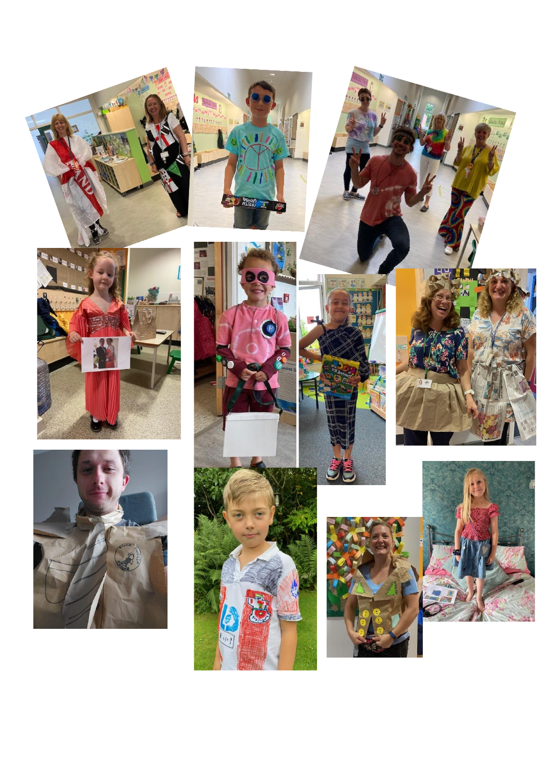















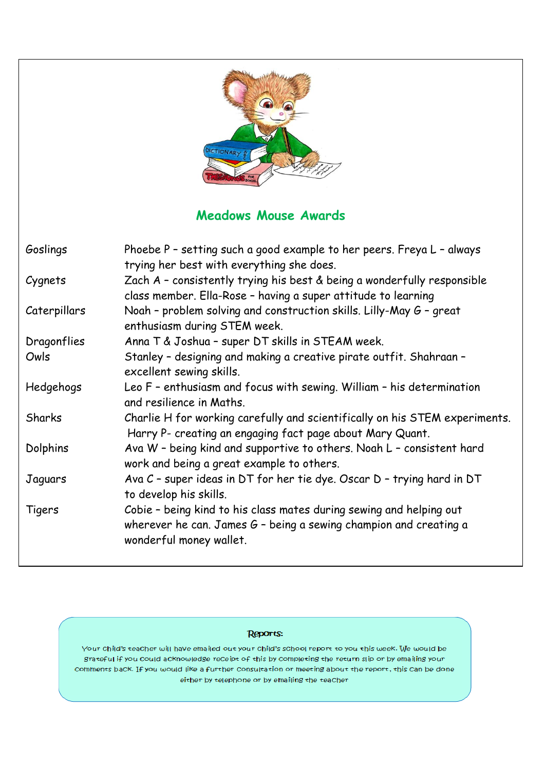

**Meadows Mouse Awards**

| Goslings     | Phoebe P - setting such a good example to her peers. Freya L - always                                                                                                 |
|--------------|-----------------------------------------------------------------------------------------------------------------------------------------------------------------------|
|              | trying her best with everything she does.                                                                                                                             |
| Cygnets      | Zach A - consistently trying his best & being a wonderfully responsible                                                                                               |
|              | class member. Ella-Rose - having a super attitude to learning                                                                                                         |
| Caterpillars | Noah - problem solving and construction skills. Lilly-May $G$ - great<br>enthusiasm during STEM week.                                                                 |
| Dragonflies  | Anna T & Joshua - super DT skills in STEAM week.                                                                                                                      |
| Owls         | Stanley - designing and making a creative pirate outfit. Shahraan -<br>excellent sewing skills.                                                                       |
| Hedgehogs    | Leo F - enthusiasm and focus with sewing. William - his determination<br>and resilience in Maths.                                                                     |
| Sharks       | Charlie H for working carefully and scientifically on his STEM experiments.<br>Harry P- creating an engaging fact page about Mary Quant.                              |
| Dolphins     | Ava W - being kind and supportive to others. Noah L - consistent hard<br>work and being a great example to others.                                                    |
| Jaguars      | Ava C - super ideas in DT for her tie dye. Oscar D - trying hard in DT<br>to develop his skills.                                                                      |
| Tigers       | Cobie - being kind to his class mates during sewing and helping out<br>wherever he can. James $G$ - being a sewing champion and creating a<br>wonderful money wallet. |

## Reports:

Your child's teacher will have emailed out your child's school report to you this week. We would be grateful if you Could aCKnowledge receipt of this by Completing the return slip or by emailing your comments back. If you would like a further consultation or meeting about the report, this can be done either by telephone or by emailing the teacher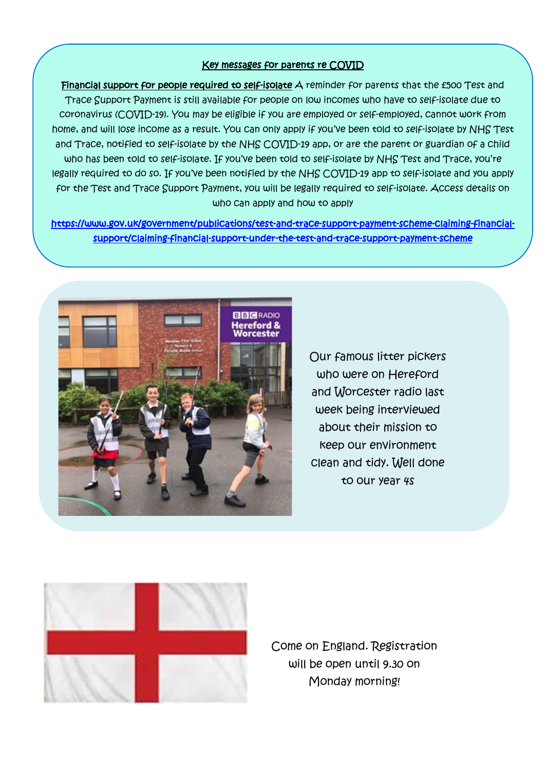## Key messages for parents re COVID

Financial support for people required to self-isolate A reminder for parents that the £500 Test and Trace Support Payment is still available for people on low incomes who have to self-isolate due to coronavirus (COVID-19). You may be eligible if you are employed or self-employed, cannot work from home, and will lose income as a result. You can only apply if you've been told to self-isolate by NHS Test and Trace, notified to self-isolate by the NHS COVID-19 app, or are the parent or guardian of a child who has been told to self-isolate. If you've been told to self-isolate by NHS Test and Trace, you're legally required to do so. If you've been notified by the NHS COVID-19 app to self-isolate and you apply for the Test and Trace Support Payment, you will be legally required to self-isolate. Access details on who can apply and how to apply

[https://www.gov.uk/government/publications/test-and-trace-support-payment-scheme-claiming-financial](https://www.gov.uk/government/publications/test-and-trace-support-payment-scheme-claiming-financial-support/claiming-financial-support-under-the-test-and-trace-support-payment-scheme)[support/claiming-financial-support-under-the-test-and-trace-support-payment-scheme](https://www.gov.uk/government/publications/test-and-trace-support-payment-scheme-claiming-financial-support/claiming-financial-support-under-the-test-and-trace-support-payment-scheme)



Our famous litter pickers who were on Hereford and Worcester radio last week being interviewed about their mission to keep our environment clean and tidy. Well done to our year 4s



Come on England. Registration will be open until 9.30 on Monday morning!